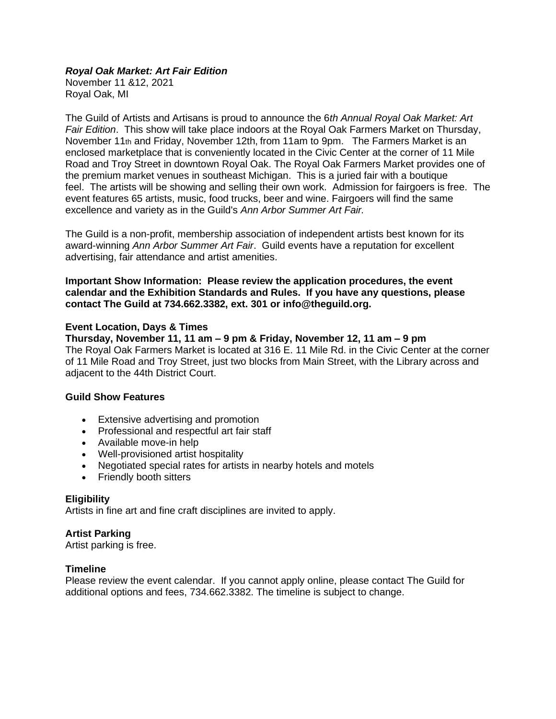# *Royal Oak Market: Art Fair Edition*

November 11 &12, 2021 Royal Oak, MI

The Guild of Artists and Artisans is proud to announce the 6*th Annual Royal Oak Market: Art Fair Edition*. This show will take place indoors at the Royal Oak Farmers Market on Thursday, November 11th and Friday, November 12th, from 11am to 9pm. The Farmers Market is an enclosed marketplace that is conveniently located in the Civic Center at the corner of 11 Mile Road and Troy Street in downtown Royal Oak. The Royal Oak Farmers Market provides one of the premium market venues in southeast Michigan. This is a juried fair with a boutique feel. The artists will be showing and selling their own work. Admission for fairgoers is free. The event features 65 artists, music, food trucks, beer and wine. Fairgoers will find the same excellence and variety as in the Guild's *Ann Arbor Summer Art Fair.*

The Guild is a non-profit, membership association of independent artists best known for its award-winning *Ann Arbor Summer Art Fair*. Guild events have a reputation for excellent advertising, fair attendance and artist amenities.

**Important Show Information: Please review the application procedures, the event calendar and the Exhibition Standards and Rules. If you have any questions, please contact The Guild at 734.662.3382, ext. 301 or info@theguild.org.**

#### **Event Location, Days & Times**

**Thursday, November 11, 11 am – 9 pm & Friday, November 12, 11 am – 9 pm** The Royal Oak Farmers Market is located at 316 E. 11 Mile Rd. in the Civic Center at the corner of 11 Mile Road and Troy Street, just two blocks from Main Street, with the Library across and adjacent to the 44th District Court.

### **Guild Show Features**

- Extensive advertising and promotion
- Professional and respectful art fair staff
- Available move-in help
- Well-provisioned artist hospitality
- Negotiated special rates for artists in nearby hotels and motels
- Friendly booth sitters

#### **Eligibility**

Artists in fine art and fine craft disciplines are invited to apply.

### **Artist Parking**

Artist parking is free.

#### **Timeline**

Please review the event calendar. If you cannot apply online, please contact The Guild for additional options and fees, 734.662.3382. The timeline is subject to change.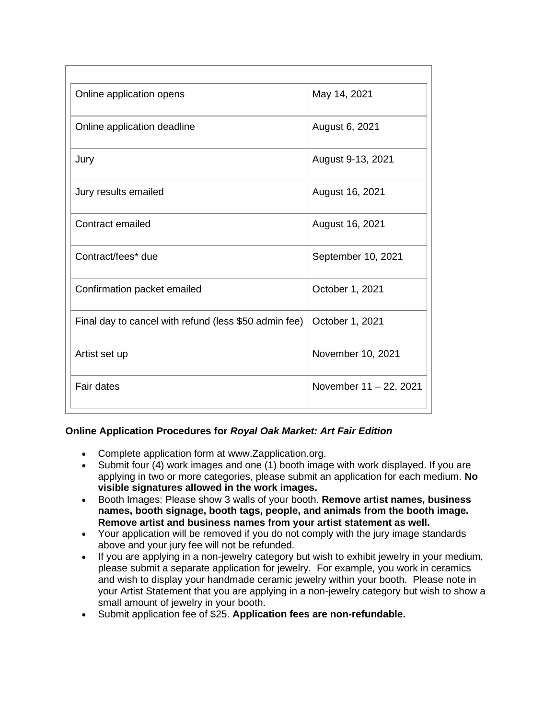| Online application opens                              | May 14, 2021           |
|-------------------------------------------------------|------------------------|
| Online application deadline                           | August 6, 2021         |
| Jury                                                  | August 9-13, 2021      |
| Jury results emailed                                  | August 16, 2021        |
| Contract emailed                                      | August 16, 2021        |
| Contract/fees* due                                    | September 10, 2021     |
| Confirmation packet emailed                           | October 1, 2021        |
| Final day to cancel with refund (less \$50 admin fee) | October 1, 2021        |
| Artist set up                                         | November 10, 2021      |
| Fair dates                                            | November 11 - 22, 2021 |

# **Online Application Procedures for** *Royal Oak Market: Art Fair Edition*

- Complete application form at www.Zapplication.org.
- Submit four (4) work images and one (1) booth image with work displayed. If you are applying in two or more categories, please submit an application for each medium. **No visible signatures allowed in the work images.**
- Booth Images: Please show 3 walls of your booth. **Remove artist names, business names, booth signage, booth tags, people, and animals from the booth image. Remove artist and business names from your artist statement as well.**
- Your application will be removed if you do not comply with the jury image standards above and your jury fee will not be refunded.
- If you are applying in a non-jewelry category but wish to exhibit jewelry in your medium, please submit a separate application for jewelry. For example, you work in ceramics and wish to display your handmade ceramic jewelry within your booth. Please note in your Artist Statement that you are applying in a non-jewelry category but wish to show a small amount of jewelry in your booth.
- Submit application fee of \$25. **Application fees are non-refundable.**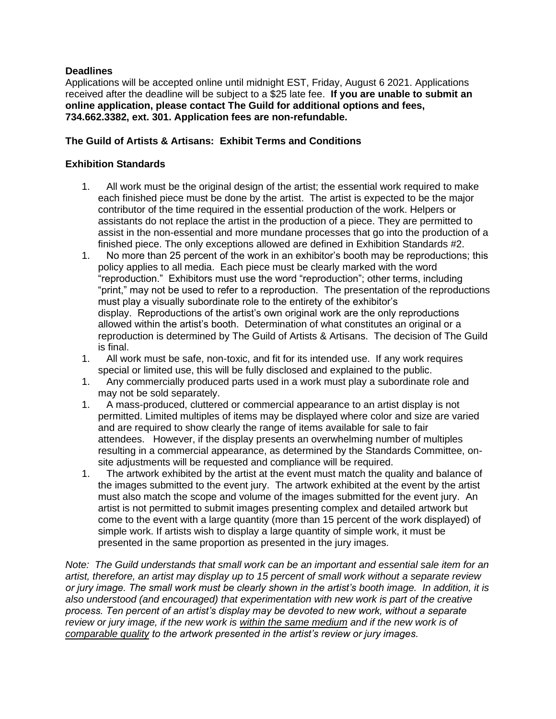# **Deadlines**

Applications will be accepted online until midnight EST, Friday, August 6 2021. Applications received after the deadline will be subject to a \$25 late fee. **If you are unable to submit an online application, please contact The Guild for additional options and fees, 734.662.3382, ext. 301. Application fees are non-refundable.**

# **The Guild of Artists & Artisans: Exhibit Terms and Conditions**

# **Exhibition Standards**

- 1. All work must be the original design of the artist; the essential work required to make each finished piece must be done by the artist. The artist is expected to be the major contributor of the time required in the essential production of the work. Helpers or assistants do not replace the artist in the production of a piece. They are permitted to assist in the non-essential and more mundane processes that go into the production of a finished piece. The only exceptions allowed are defined in Exhibition Standards #2.
- 1. No more than 25 percent of the work in an exhibitor's booth may be reproductions; this policy applies to all media. Each piece must be clearly marked with the word "reproduction." Exhibitors must use the word "reproduction"; other terms, including "print," may not be used to refer to a reproduction. The presentation of the reproductions must play a visually subordinate role to the entirety of the exhibitor's display. Reproductions of the artist's own original work are the only reproductions allowed within the artist's booth. Determination of what constitutes an original or a reproduction is determined by The Guild of Artists & Artisans. The decision of The Guild is final.
- 1. All work must be safe, non-toxic, and fit for its intended use. If any work requires special or limited use, this will be fully disclosed and explained to the public.
- 1. Any commercially produced parts used in a work must play a subordinate role and may not be sold separately.
- 1. A mass-produced, cluttered or commercial appearance to an artist display is not permitted. Limited multiples of items may be displayed where color and size are varied and are required to show clearly the range of items available for sale to fair attendees. However, if the display presents an overwhelming number of multiples resulting in a commercial appearance, as determined by the Standards Committee, onsite adjustments will be requested and compliance will be required.
- 1. The artwork exhibited by the artist at the event must match the quality and balance of the images submitted to the event jury. The artwork exhibited at the event by the artist must also match the scope and volume of the images submitted for the event jury. An artist is not permitted to submit images presenting complex and detailed artwork but come to the event with a large quantity (more than 15 percent of the work displayed) of simple work. If artists wish to display a large quantity of simple work, it must be presented in the same proportion as presented in the jury images.

*Note: The Guild understands that small work can be an important and essential sale item for an artist, therefore, an artist may display up to 15 percent of small work without a separate review or jury image. The small work must be clearly shown in the artist's booth image. In addition, it is also understood (and encouraged) that experimentation with new work is part of the creative process. Ten percent of an artist's display may be devoted to new work, without a separate review or jury image, if the new work is within the same medium and if the new work is of comparable quality to the artwork presented in the artist's review or jury images.*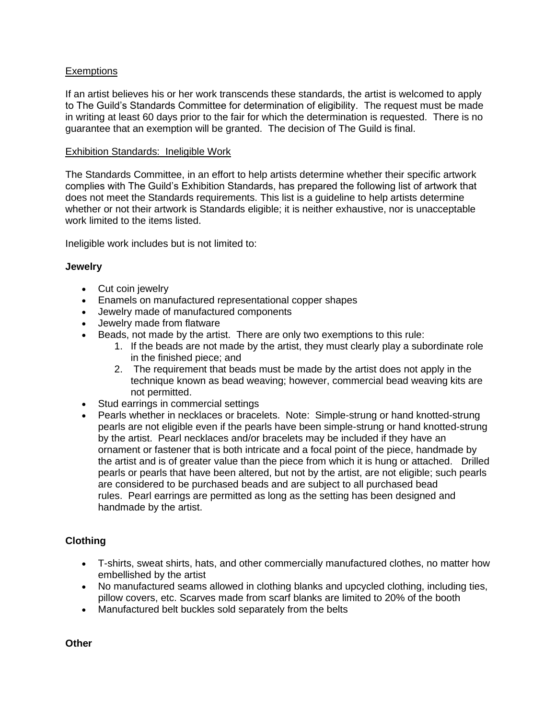# Exemptions

If an artist believes his or her work transcends these standards, the artist is welcomed to apply to The Guild's Standards Committee for determination of eligibility. The request must be made in writing at least 60 days prior to the fair for which the determination is requested. There is no guarantee that an exemption will be granted. The decision of The Guild is final.

#### Exhibition Standards: Ineligible Work

The Standards Committee, in an effort to help artists determine whether their specific artwork complies with The Guild's Exhibition Standards, has prepared the following list of artwork that does not meet the Standards requirements. This list is a guideline to help artists determine whether or not their artwork is Standards eligible; it is neither exhaustive, nor is unacceptable work limited to the items listed.

Ineligible work includes but is not limited to:

### **Jewelry**

- Cut coin jewelry
- Enamels on manufactured representational copper shapes
- Jewelry made of manufactured components
- Jewelry made from flatware
- Beads, not made by the artist. There are only two exemptions to this rule:
	- 1. If the beads are not made by the artist, they must clearly play a subordinate role in the finished piece; and
	- 2. The requirement that beads must be made by the artist does not apply in the technique known as bead weaving; however, commercial bead weaving kits are not permitted.
- Stud earrings in commercial settings
- Pearls whether in necklaces or bracelets. Note: Simple-strung or hand knotted-strung pearls are not eligible even if the pearls have been simple-strung or hand knotted-strung by the artist. Pearl necklaces and/or bracelets may be included if they have an ornament or fastener that is both intricate and a focal point of the piece, handmade by the artist and is of greater value than the piece from which it is hung or attached. Drilled pearls or pearls that have been altered, but not by the artist, are not eligible; such pearls are considered to be purchased beads and are subject to all purchased bead rules. Pearl earrings are permitted as long as the setting has been designed and handmade by the artist.

### **Clothing**

- T-shirts, sweat shirts, hats, and other commercially manufactured clothes, no matter how embellished by the artist
- No manufactured seams allowed in clothing blanks and upcycled clothing, including ties, pillow covers, etc. Scarves made from scarf blanks are limited to 20% of the booth
- Manufactured belt buckles sold separately from the belts

**Other**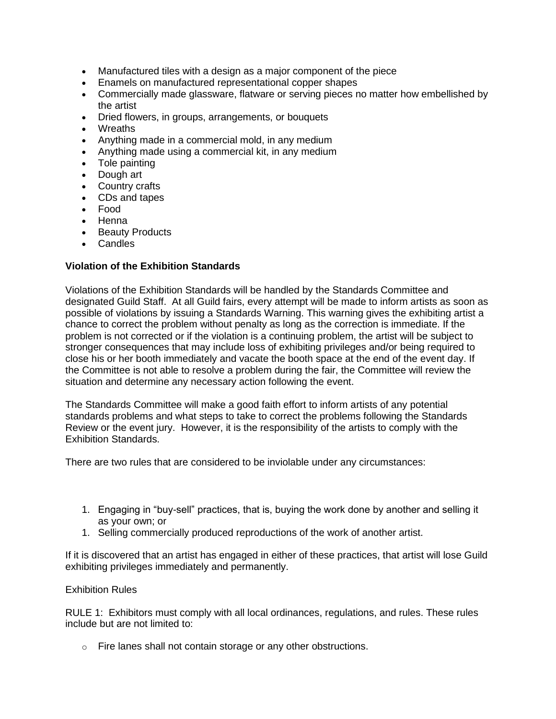- Manufactured tiles with a design as a major component of the piece
- Enamels on manufactured representational copper shapes
- Commercially made glassware, flatware or serving pieces no matter how embellished by the artist
- Dried flowers, in groups, arrangements, or bouquets
- Wreaths
- Anything made in a commercial mold, in any medium
- Anything made using a commercial kit, in any medium
- Tole painting
- Dough art
- Country crafts
- CDs and tapes
- Food
- Henna
- Beauty Products
- Candles

#### **Violation of the Exhibition Standards**

Violations of the Exhibition Standards will be handled by the Standards Committee and designated Guild Staff. At all Guild fairs, every attempt will be made to inform artists as soon as possible of violations by issuing a Standards Warning. This warning gives the exhibiting artist a chance to correct the problem without penalty as long as the correction is immediate. If the problem is not corrected or if the violation is a continuing problem, the artist will be subject to stronger consequences that may include loss of exhibiting privileges and/or being required to close his or her booth immediately and vacate the booth space at the end of the event day. If the Committee is not able to resolve a problem during the fair, the Committee will review the situation and determine any necessary action following the event.

The Standards Committee will make a good faith effort to inform artists of any potential standards problems and what steps to take to correct the problems following the Standards Review or the event jury. However, it is the responsibility of the artists to comply with the Exhibition Standards.

There are two rules that are considered to be inviolable under any circumstances:

- 1. Engaging in "buy-sell" practices, that is, buying the work done by another and selling it as your own; or
- 1. Selling commercially produced reproductions of the work of another artist.

If it is discovered that an artist has engaged in either of these practices, that artist will lose Guild exhibiting privileges immediately and permanently.

#### Exhibition Rules

RULE 1: Exhibitors must comply with all local ordinances, regulations, and rules. These rules include but are not limited to:

o Fire lanes shall not contain storage or any other obstructions.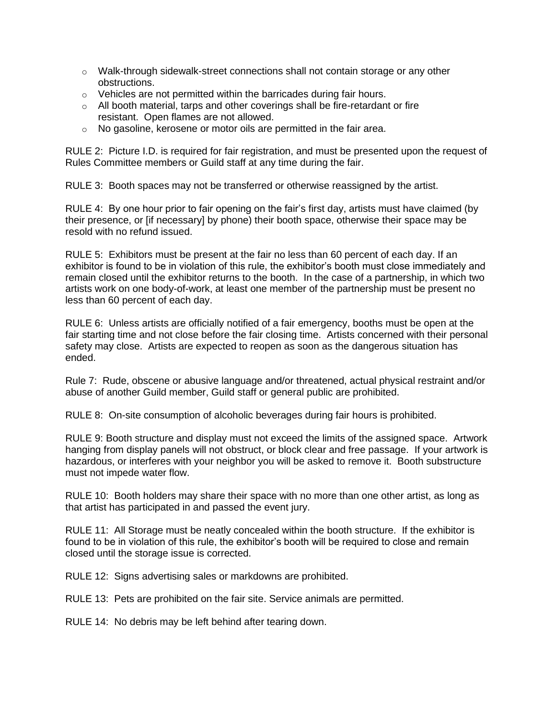- $\circ$  Walk-through sidewalk-street connections shall not contain storage or any other obstructions.
- $\circ$  Vehicles are not permitted within the barricades during fair hours.
- o All booth material, tarps and other coverings shall be fire-retardant or fire resistant. Open flames are not allowed.
- o No gasoline, kerosene or motor oils are permitted in the fair area.

RULE 2: Picture I.D. is required for fair registration, and must be presented upon the request of Rules Committee members or Guild staff at any time during the fair.

RULE 3: Booth spaces may not be transferred or otherwise reassigned by the artist.

RULE 4: By one hour prior to fair opening on the fair's first day, artists must have claimed (by their presence, or [if necessary] by phone) their booth space, otherwise their space may be resold with no refund issued.

RULE 5: Exhibitors must be present at the fair no less than 60 percent of each day. If an exhibitor is found to be in violation of this rule, the exhibitor's booth must close immediately and remain closed until the exhibitor returns to the booth. In the case of a partnership, in which two artists work on one body-of-work, at least one member of the partnership must be present no less than 60 percent of each day.

RULE 6: Unless artists are officially notified of a fair emergency, booths must be open at the fair starting time and not close before the fair closing time. Artists concerned with their personal safety may close. Artists are expected to reopen as soon as the dangerous situation has ended.

Rule 7: Rude, obscene or abusive language and/or threatened, actual physical restraint and/or abuse of another Guild member, Guild staff or general public are prohibited.

RULE 8: On-site consumption of alcoholic beverages during fair hours is prohibited.

RULE 9: Booth structure and display must not exceed the limits of the assigned space. Artwork hanging from display panels will not obstruct, or block clear and free passage. If your artwork is hazardous, or interferes with your neighbor you will be asked to remove it. Booth substructure must not impede water flow.

RULE 10: Booth holders may share their space with no more than one other artist, as long as that artist has participated in and passed the event jury.

RULE 11: All Storage must be neatly concealed within the booth structure. If the exhibitor is found to be in violation of this rule, the exhibitor's booth will be required to close and remain closed until the storage issue is corrected.

RULE 12: Signs advertising sales or markdowns are prohibited.

RULE 13: Pets are prohibited on the fair site. Service animals are permitted.

RULE 14: No debris may be left behind after tearing down.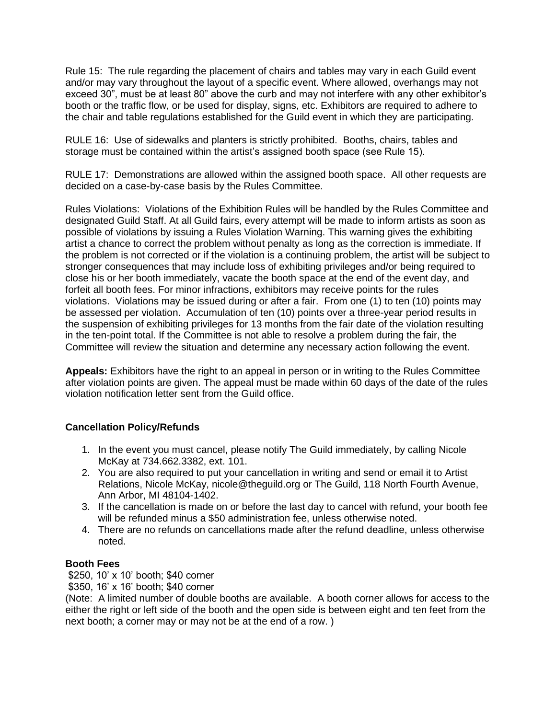Rule 15: The rule regarding the placement of chairs and tables may vary in each Guild event and/or may vary throughout the layout of a specific event. Where allowed, overhangs may not exceed 30", must be at least 80" above the curb and may not interfere with any other exhibitor's booth or the traffic flow, or be used for display, signs, etc. Exhibitors are required to adhere to the chair and table regulations established for the Guild event in which they are participating.

RULE 16: Use of sidewalks and planters is strictly prohibited. Booths, chairs, tables and storage must be contained within the artist's assigned booth space (see Rule 15).

RULE 17: Demonstrations are allowed within the assigned booth space. All other requests are decided on a case-by-case basis by the Rules Committee.

Rules Violations: Violations of the Exhibition Rules will be handled by the Rules Committee and designated Guild Staff. At all Guild fairs, every attempt will be made to inform artists as soon as possible of violations by issuing a Rules Violation Warning. This warning gives the exhibiting artist a chance to correct the problem without penalty as long as the correction is immediate. If the problem is not corrected or if the violation is a continuing problem, the artist will be subject to stronger consequences that may include loss of exhibiting privileges and/or being required to close his or her booth immediately, vacate the booth space at the end of the event day, and forfeit all booth fees. For minor infractions, exhibitors may receive points for the rules violations. Violations may be issued during or after a fair. From one (1) to ten (10) points may be assessed per violation. Accumulation of ten (10) points over a three-year period results in the suspension of exhibiting privileges for 13 months from the fair date of the violation resulting in the ten-point total. If the Committee is not able to resolve a problem during the fair, the Committee will review the situation and determine any necessary action following the event.

**Appeals:** Exhibitors have the right to an appeal in person or in writing to the Rules Committee after violation points are given. The appeal must be made within 60 days of the date of the rules violation notification letter sent from the Guild office.

### **Cancellation Policy/Refunds**

- 1. In the event you must cancel, please notify The Guild immediately, by calling Nicole McKay at 734.662.3382, ext. 101.
- 2. You are also required to put your cancellation in writing and send or email it to Artist Relations, Nicole McKay, nicole@theguild.org or The Guild, 118 North Fourth Avenue, Ann Arbor, MI 48104-1402.
- 3. If the cancellation is made on or before the last day to cancel with refund, your booth fee will be refunded minus a \$50 administration fee, unless otherwise noted.
- 4. There are no refunds on cancellations made after the refund deadline, unless otherwise noted.

### **Booth Fees**

- \$250, 10' x 10' booth; \$40 corner
- \$350, 16' x 16' booth; \$40 corner

(Note: A limited number of double booths are available. A booth corner allows for access to the either the right or left side of the booth and the open side is between eight and ten feet from the next booth; a corner may or may not be at the end of a row. )